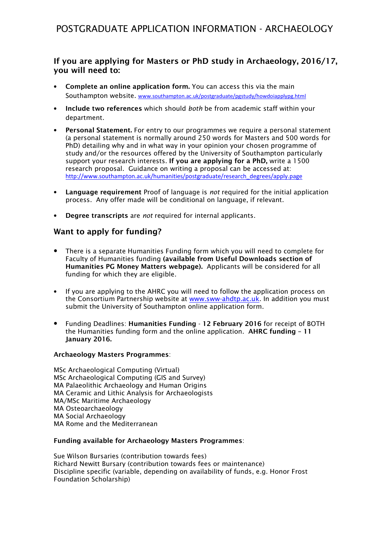# If you are applying for Masters or PhD study in Archaeology, 2016/17, you will need to:

- Complete an online application form. You can access this via the main Southampton website. www.southampton.ac.uk/postgraduate/pgstudy/howdoiapplypg.html
- Include two references which should both be from academic staff within your department.
- Personal Statement. For entry to our programmes we require a personal statement (a personal statement is normally around 250 words for Masters and 500 words for PhD) detailing why and in what way in your opinion your chosen programme of study and/or the resources offered by the University of Southampton particularly support your research interests. If you are applying for a PhD, write a 1500 research proposal. Guidance on writing a proposal can be accessed at: http://www.southampton.ac.uk/humanities/postgraduate/research\_degrees/apply.page
- Language requirement Proof of language is *not* required for the initial application process. Any offer made will be conditional on language, if relevant.
- Degree transcripts are not required for internal applicants.

# Want to apply for funding?

- There is a separate Humanities Funding form which you will need to complete for Faculty of Humanities funding (available from Useful Downloads section of Humanities PG Money Matters webpage). Applicants will be considered for all funding for which they are eligible.
- If you are applying to the AHRC you will need to follow the application process on the Consortium Partnership website at www.sww-ahdtp.ac.uk. In addition you must submit the University of Southampton online application form.
- Funding Deadlines: Humanities Funding 12 February 2016 for receipt of BOTH the Humanities funding form and the online application. AHRC funding – 11 January 2016.

## Archaeology Masters Programmes:

MSc Archaeological Computing (Virtual) MSc Archaeological Computing (GIS and Survey) MA Palaeolithic Archaeology and Human Origins MA Ceramic and Lithic Analysis for Archaeologists MA/MSc Maritime Archaeology MA Osteoarchaeology MA Social Archaeology MA Rome and the Mediterranean

#### Funding available for Archaeology Masters Programmes:

Sue Wilson Bursaries (contribution towards fees) Richard Newitt Bursary (contribution towards fees or maintenance) Discipline specific (variable, depending on availability of funds, e.g. Honor Frost Foundation Scholarship)